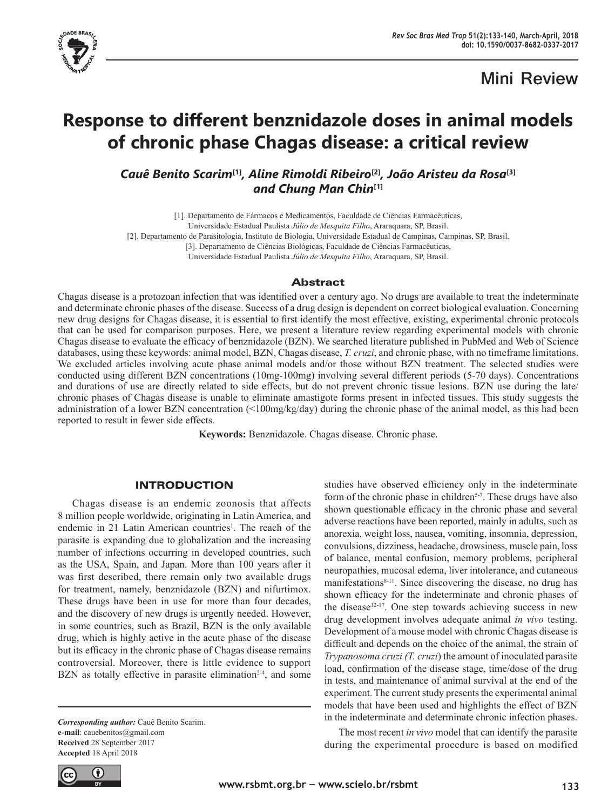

## **Mini Review**

# **Response to different benznidazole doses in animal models of chronic phase Chagas disease: a critical review**

*Cauê Benito Scarim***[1]***, Aline Rimoldi Ribeiro***[2]***, João Aristeu da Rosa***[3]** *and Chung Man Chin***[1]**

[1]. Departamento de Fármacos e Medicamentos, Faculdade de Ciências Farmacêuticas,

Universidade Estadual Paulista *Júlio de Mesquita Filho*, Araraquara, SP, Brasil.

[2]. Departamento de Parasitologia, Instituto de Biologia, Universidade Estadual de Campinas, Campinas, SP, Brasil.

[3]. Departamento de Ciências Biológicas, Faculdade de Ciências Farmacêuticas,

Universidade Estadual Paulista *Júlio de Mesquita Filho*, Araraquara, SP, Brasil.

## Abstract

Chagas disease is a protozoan infection that was identified over a century ago. No drugs are available to treat the indeterminate and determinate chronic phases of the disease. Success of a drug design is dependent on correct biological evaluation. Concerning new drug designs for Chagas disease, it is essential to first identify the most effective, existing, experimental chronic protocols that can be used for comparison purposes. Here, we present a literature review regarding experimental models with chronic Chagas disease to evaluate the efficacy of benznidazole (BZN). We searched literature published in PubMed and Web of Science databases, using these keywords: animal model, BZN, Chagas disease, *T. cruzi*, and chronic phase, with no timeframe limitations. We excluded articles involving acute phase animal models and/or those without BZN treatment. The selected studies were conducted using different BZN concentrations (10mg-100mg) involving several different periods (5-70 days). Concentrations and durations of use are directly related to side effects, but do not prevent chronic tissue lesions. BZN use during the late/ chronic phases of Chagas disease is unable to eliminate amastigote forms present in infected tissues. This study suggests the administration of a lower BZN concentration (<100mg/kg/day) during the chronic phase of the animal model, as this had been reported to result in fewer side effects.

**Keywords:** Benznidazole. Chagas disease. Chronic phase.

## INTRODUCTION

Chagas disease is an endemic zoonosis that affects 8 million people worldwide, originating in Latin America, and endemic in 21 Latin American countries<sup>1</sup>. The reach of the parasite is expanding due to globalization and the increasing number of infections occurring in developed countries, such as the USA, Spain, and Japan. More than 100 years after it was first described, there remain only two available drugs for treatment, namely, benznidazole (BZN) and nifurtimox. These drugs have been in use for more than four decades, and the discovery of new drugs is urgently needed. However, in some countries, such as Brazil, BZN is the only available drug, which is highly active in the acute phase of the disease but its efficacy in the chronic phase of Chagas disease remains controversial. Moreover, there is little evidence to support BZN as totally effective in parasite elimination<sup>2-4</sup>, and some

*Corresponding author:* Cauê Benito Scarim. **e-mail**: cauebenitos@gmail.com **Received** 28 September 2017 **Accepted** 18 April 2018



studies have observed efficiency only in the indeterminate form of the chronic phase in children<sup>5-7</sup>. These drugs have also shown questionable efficacy in the chronic phase and several adverse reactions have been reported, mainly in adults, such as anorexia, weight loss, nausea, vomiting, insomnia, depression, convulsions, dizziness, headache, drowsiness, muscle pain, loss of balance, mental confusion, memory problems, peripheral neuropathies, mucosal edema, liver intolerance, and cutaneous manifestations<sup>8-11</sup>. Since discovering the disease, no drug has shown efficacy for the indeterminate and chronic phases of the disease<sup>12-17</sup>. One step towards achieving success in new drug development involves adequate animal *in vivo* testing. Development of a mouse model with chronic Chagas disease is difficult and depends on the choice of the animal, the strain of *Trypanosoma cruzi (T. cruzi*) the amount of inoculated parasite load, confirmation of the disease stage, time/dose of the drug in tests, and maintenance of animal survival at the end of the experiment. The current study presents the experimental animal models that have been used and highlights the effect of BZN in the indeterminate and determinate chronic infection phases.

The most recent *in vivo* model that can identify the parasite during the experimental procedure is based on modified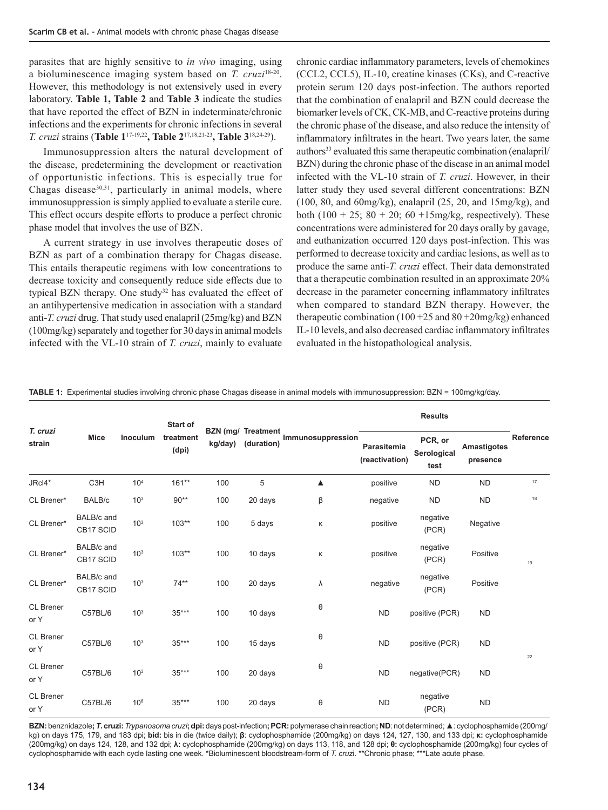parasites that are highly sensitive to *in vivo* imaging, using a bioluminescence imaging system based on *T. cruzi*18-20. However, this methodology is not extensively used in every laboratory. **Table 1, Table 2** and **Table 3** indicate the studies that have reported the effect of BZN in indeterminate/chronic infections and the experiments for chronic infections in several *T. cruzi* strains (**Table 1**17-19,22**, Table 2**17,18,21-23**, Table 3**18,24-29).

Immunosuppression alters the natural development of the disease, predetermining the development or reactivation of opportunistic infections. This is especially true for Chagas disease $30,31$ , particularly in animal models, where immunosuppression is simply applied to evaluate a sterile cure. This effect occurs despite efforts to produce a perfect chronic phase model that involves the use of BZN.

A current strategy in use involves therapeutic doses of BZN as part of a combination therapy for Chagas disease. This entails therapeutic regimens with low concentrations to decrease toxicity and consequently reduce side effects due to typical BZN therapy. One study<sup>32</sup> has evaluated the effect of an antihypertensive medication in association with a standard anti-*T. cruzi* drug. That study used enalapril (25mg/kg) and BZN (100mg/kg) separately and together for 30 days in animal models infected with the VL-10 strain of *T. cruzi*, mainly to evaluate

chronic cardiac inflammatory parameters, levels of chemokines (CCL2, CCL5), IL-10, creatine kinases (CKs), and C-reactive protein serum 120 days post-infection. The authors reported that the combination of enalapril and BZN could decrease the biomarker levels of CK, CK-MB, and C-reactive proteins during the chronic phase of the disease, and also reduce the intensity of inflammatory infiltrates in the heart. Two years later, the same authors<sup>33</sup> evaluated this same therapeutic combination (enalapril/ BZN) during the chronic phase of the disease in an animal model infected with the VL-10 strain of *T. cruzi*. However, in their latter study they used several different concentrations: BZN (100, 80, and 60mg/kg), enalapril (25, 20, and 15mg/kg), and both  $(100 + 25; 80 + 20; 60 + 15$ mg/kg, respectively). These concentrations were administered for 20 days orally by gavage, and euthanization occurred 120 days post-infection. This was performed to decrease toxicity and cardiac lesions, as well as to produce the same anti-*T. cruzi* effect. Their data demonstrated that a therapeutic combination resulted in an approximate 20% decrease in the parameter concerning inflammatory infiltrates when compared to standard BZN therapy. However, the therapeutic combination (100 +25 and  $80 + 20$ mg/kg) enhanced IL-10 levels, and also decreased cardiac inflammatory infiltrates evaluated in the histopathological analysis.

| T. cruzi<br>strain | <b>Mice</b>             | Inoculum        | Start of<br>treatment<br>(dpi) | kg/day) | <b>BZN</b> (mg/ Treatment<br>(duration) | Immunosuppression |                               |                                |                         |                  |
|--------------------|-------------------------|-----------------|--------------------------------|---------|-----------------------------------------|-------------------|-------------------------------|--------------------------------|-------------------------|------------------|
|                    |                         |                 |                                |         |                                         |                   | Parasitemia<br>(reactivation) | PCR, or<br>Serological<br>test | Amastigotes<br>presence | <b>Reference</b> |
| JRcl4*             | C <sub>3</sub> H        | 10 <sup>4</sup> | $161**$                        | 100     | 5                                       | ▲                 | positive                      | <b>ND</b>                      | <b>ND</b>               | 17               |
| CL Brener*         | BALB/c                  | 10 <sup>3</sup> | $90**$                         | 100     | 20 days                                 | β                 | negative                      | <b>ND</b>                      | <b>ND</b>               | 18               |
| CL Brener*         | BALB/c and<br>CB17 SCID | 10 <sup>3</sup> | $103**$                        | 100     | 5 days                                  | Κ                 | positive                      | negative<br>(PCR)              | Negative                |                  |
| CL Brener*         | BALB/c and<br>CB17 SCID | 10 <sup>3</sup> | $103**$                        | 100     | 10 days                                 | κ                 | positive                      | negative<br>(PCR)              | Positive                | 19               |
| CL Brener*         | BALB/c and<br>CB17 SCID | 10 <sup>3</sup> | $74**$                         | 100     | 20 days                                 | λ                 | negative                      | negative<br>(PCR)              | Positive                |                  |
| CL Brener<br>or Y  | C57BL/6                 | 10 <sup>3</sup> | $35***$                        | 100     | 10 days                                 | θ                 | <b>ND</b>                     | positive (PCR)                 | <b>ND</b>               |                  |
| CL Brener<br>or Y  | C57BL/6                 | 10 <sup>3</sup> | $35***$                        | 100     | 15 days                                 | θ                 | <b>ND</b>                     | positive (PCR)                 | <b>ND</b>               | 22               |
| CL Brener<br>or Y  | C57BL/6                 | 10 <sup>3</sup> | $35***$                        | 100     | 20 days                                 | θ                 | <b>ND</b>                     | negative(PCR)                  | <b>ND</b>               |                  |
| CL Brener<br>or Y  | C57BL/6                 | 10 <sup>6</sup> | $35***$                        | 100     | 20 days                                 | θ                 | <b>ND</b>                     | negative<br>(PCR)              | <b>ND</b>               |                  |

**TABLE 1:** Experimental studies involving chronic phase Chagas disease in animal models with immunosuppression: BZN = 100mg/kg/day.

**BZN:** benznidazole**;** *T***. cruzi:** *Trypanosoma cruzi***; dpi:** days post-infection**; PCR:** polymerase chain reaction**;ND**: not determined; **▲**: cyclophosphamide (200mg/ kg) on days 175, 179, and 183 dpi; **bid:** bis in die (twice daily); **β**: cyclophosphamide (200mg/kg) on days 124, 127, 130, and 133 dpi; **κ:** cyclophosphamide (200mg/kg) on days 124, 128, and 132 dpi; **λ:** cyclophosphamide (200mg/kg) on days 113, 118, and 128 dpi; **θ:** cyclophosphamide (200mg/kg) four cycles of cyclophosphamide with each cycle lasting one week. \*Bioluminescent bloodstream-form of *T. cruz*i. \*\*Chronic phase; \*\*\*Late acute phase.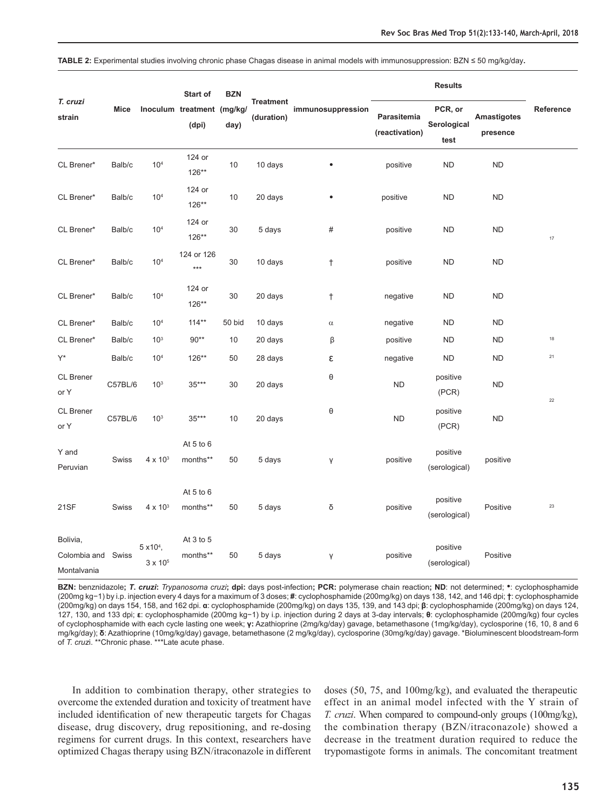**TABLE 2:** Experimental studies involving chronic phase Chagas disease in animal models with immunosuppression: BZN ≤ 50 mg/kg/day**.**

|                                               | Mice    |                                | Start of<br>Inoculum treatment<br>(dpi) | <b>BZN</b><br>(mg/kg/<br>day) | <b>Treatment</b><br>(duration) | immunosuppression     |                               |                                |                         |           |
|-----------------------------------------------|---------|--------------------------------|-----------------------------------------|-------------------------------|--------------------------------|-----------------------|-------------------------------|--------------------------------|-------------------------|-----------|
| T. cruzi<br>strain                            |         |                                |                                         |                               |                                |                       | Parasitemia<br>(reactivation) | PCR, or<br>Serological<br>test | Amastigotes<br>presence | Reference |
| CL Brener*                                    | Balb/c  | 10 <sup>4</sup>                | 124 or<br>$126**$                       | 10                            | 10 days                        | $\bullet$             | positive                      | <b>ND</b>                      | <b>ND</b>               |           |
| CL Brener*                                    | Balb/c  | 10 <sup>4</sup>                | 124 or<br>$126**$                       | 10                            | 20 days                        | $\bullet$             | positive                      | <b>ND</b>                      | <b>ND</b>               |           |
| CL Brener*                                    | Balb/c  | 10 <sup>4</sup>                | 124 or<br>$126**$                       | 30                            | 5 days                         | #                     | positive                      | <b>ND</b>                      | ND                      | 17        |
| CL Brener*                                    | Balb/c  | 10 <sup>4</sup>                | 124 or 126<br>$***$                     | 30                            | 10 days                        | $^\dagger$            | positive                      | <b>ND</b>                      | <b>ND</b>               |           |
| CL Brener*                                    | Balb/c  | 10 <sup>4</sup>                | 124 or<br>$126**$                       | 30                            | 20 days                        | $^\dagger$            | negative                      | <b>ND</b>                      | <b>ND</b>               |           |
| CL Brener*                                    | Balb/c  | 10 <sup>4</sup>                | $114**$                                 | 50 bid                        | 10 days                        | $\alpha$              | negative                      | <b>ND</b>                      | <b>ND</b>               |           |
| CL Brener*                                    | Balb/c  | 10 <sup>3</sup>                | $90**$                                  | 10                            | 20 days                        | β                     | positive                      | <b>ND</b>                      | <b>ND</b>               | 18        |
| $Y^*$                                         | Balb/c  | 10 <sup>4</sup>                | $126**$                                 | 50                            | 28 days                        | ε                     | negative                      | <b>ND</b>                      | ND                      | 21        |
| CL Brener<br>or Y                             | C57BL/6 | 10 <sup>3</sup>                | $35***$                                 | 30                            | 20 days                        | $\boldsymbol{\theta}$ | <b>ND</b>                     | positive<br>(PCR)              | <b>ND</b>               |           |
| CL Brener<br>or Y                             | C57BL/6 | 10 <sup>3</sup>                | 35***                                   | 10                            | 20 days                        | θ                     | <b>ND</b>                     | positive<br>(PCR)              | <b>ND</b>               | 22        |
| Y and<br>Peruvian                             | Swiss   | $4 \times 10^{3}$              | At 5 to 6<br>months**                   | 50                            | 5 days                         | γ                     | positive                      | positive<br>(serological)      | positive                |           |
| 21SF                                          | Swiss   | $4 \times 10^{3}$              | At $5$ to $6$<br>months**               | 50                            | 5 days                         | δ                     | positive                      | positive<br>(serological)      | Positive                | 23        |
| Bolivia,<br>Colombia and Swiss<br>Montalvania |         | $5 x 104$ ,<br>$3 \times 10^5$ | At 3 to 5<br>months**                   | 50                            | 5 days                         | γ                     | positive                      | positive<br>(serological)      | Positive                |           |

**BZN:** benznidazole**;** *T***.** *cruzi***:** *Trypanosoma cruzi***; dpi:** days post-infection**; PCR:** polymerase chain reaction**; ND**: not determined; •: cyclophosphamide (200mg kg−1) by i.p. injection every 4 days for a maximum of 3 doses; **#**: cyclophosphamide (200mg/kg) on days 138, 142, and 146 dpi; **†**: cyclophosphamide (200mg/kg) on days 154, 158, and 162 dpi. **α**: cyclophosphamide (200mg/kg) on days 135, 139, and 143 dpi; **β**: cyclophosphamide (200mg/kg) on days 124, 127, 130, and 133 dpi; **ε**: cyclophosphamide (200mg kg−1) by i.p. injection during 2 days at 3-day intervals; **θ**: cyclophosphamide (200mg/kg) four cycles of cyclophosphamide with each cycle lasting one week; **γ:** Azathioprine (2mg/kg/day) gavage, betamethasone (1mg/kg/day), cyclosporine (16, 10, 8 and 6 mg/kg/day); **δ**: Azathioprine (10mg/kg/day) gavage, betamethasone (2 mg/kg/day), cyclosporine (30mg/kg/day) gavage. \*Bioluminescent bloodstream-form of *T. cruz*i. \*\*Chronic phase. \*\*\*Late acute phase.

In addition to combination therapy, other strategies to overcome the extended duration and toxicity of treatment have included identification of new therapeutic targets for Chagas disease, drug discovery, drug repositioning, and re-dosing regimens for current drugs. In this context, researchers have optimized Chagas therapy using BZN/itraconazole in different

doses (50, 75, and 100mg/kg), and evaluated the therapeutic effect in an animal model infected with the Y strain of *T. cruzi*. When compared to compound-only groups (100mg/kg), the combination therapy (BZN/itraconazole) showed a decrease in the treatment duration required to reduce the trypomastigote forms in animals. The concomitant treatment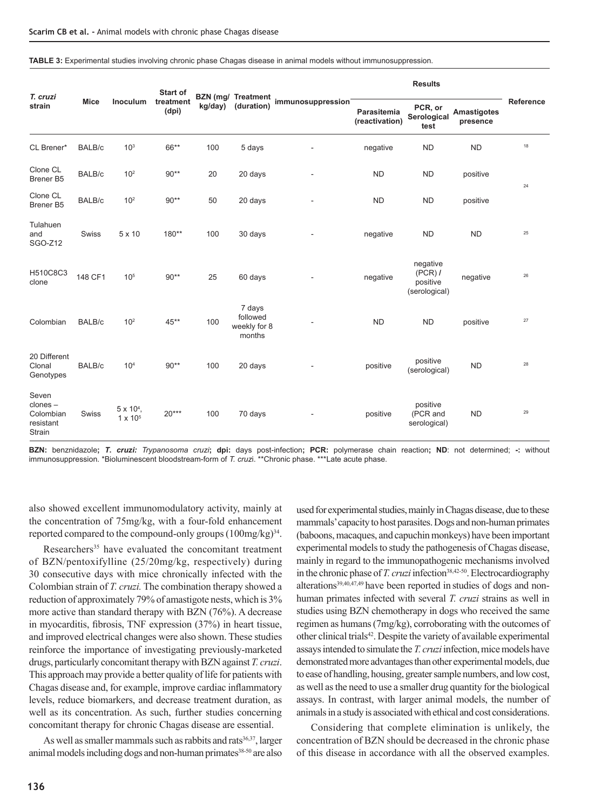| TABLE 3: Experimental studies involving chronic phase Chagas disease in animal models without immunosuppression. |  |  |  |  |  |
|------------------------------------------------------------------------------------------------------------------|--|--|--|--|--|
|------------------------------------------------------------------------------------------------------------------|--|--|--|--|--|

| T. cruzi<br>strain                                   | <b>Mice</b> | Inoculum                               | Start of<br>treatment<br>(dpi) | kg/day) | <b>BZN</b> (mg/ Treatment<br>(duration)      | immunosuppression <sup>1</sup> |                               |                                                    |                         |           |
|------------------------------------------------------|-------------|----------------------------------------|--------------------------------|---------|----------------------------------------------|--------------------------------|-------------------------------|----------------------------------------------------|-------------------------|-----------|
|                                                      |             |                                        |                                |         |                                              |                                | Parasitemia<br>(reactivation) | PCR, or<br>Serological<br>test                     | Amastigotes<br>presence | Reference |
| CL Brener*                                           | BALB/c      | 10 <sup>3</sup>                        | 66**                           | 100     | 5 days                                       |                                | negative                      | <b>ND</b>                                          | <b>ND</b>               | 18        |
| Clone CL<br>Brener B5                                | BALB/c      | 10 <sup>2</sup>                        | $90**$                         | 20      | 20 days                                      | $\overline{\phantom{m}}$       | <b>ND</b>                     | <b>ND</b>                                          | positive                | 24        |
| Clone CL<br>Brener B5                                | BALB/c      | 10 <sup>2</sup>                        | $90**$                         | 50      | 20 days                                      |                                | <b>ND</b>                     | <b>ND</b>                                          | positive                |           |
| Tulahuen<br>and<br>SGO-Z12                           | Swiss       | 5 x 10                                 | 180**                          | 100     | 30 days                                      |                                | negative                      | <b>ND</b>                                          | <b>ND</b>               | 25        |
| H510C8C3<br>clone                                    | 148 CF1     | 10 <sup>5</sup>                        | $90**$                         | 25      | 60 days                                      |                                | negative                      | negative<br>$(PCR)$ /<br>positive<br>(serological) | negative                | 26        |
| Colombian                                            | BALB/c      | 10 <sup>2</sup>                        | 45**                           | 100     | 7 days<br>followed<br>weekly for 8<br>months |                                | <b>ND</b>                     | <b>ND</b>                                          | positive                | 27        |
| 20 Different<br>Clonal<br>Genotypes                  | BALB/c      | 10 <sup>4</sup>                        | $90**$                         | 100     | 20 days                                      |                                | positive                      | positive<br>(serological)                          | <b>ND</b>               | 28        |
| Seven<br>clones-<br>Colombian<br>resistant<br>Strain | Swiss       | $5 \times 10^4$ ,<br>$1 \times 10^{5}$ | $20***$                        | 100     | 70 days                                      |                                | positive                      | positive<br>(PCR and<br>serological)               | <b>ND</b>               | 29        |

**BZN:** benznidazole**;** *T***.** *cruzi: Trypanosoma cruzi***; dpi:** days post-infection**; PCR:** polymerase chain reaction**; ND**: not determined; **-:** without immunosuppression. \*Bioluminescent bloodstream-form of *T. cruz*i. \*\*Chronic phase. \*\*\*Late acute phase.

also showed excellent immunomodulatory activity, mainly at the concentration of 75mg/kg, with a four-fold enhancement reported compared to the compound-only groups  $(100mg/kg)^{34}$ .

Researchers<sup>35</sup> have evaluated the concomitant treatment of BZN/pentoxifylline (25/20mg/kg, respectively) during 30 consecutive days with mice chronically infected with the Colombian strain of *T. cruzi.* The combination therapy showed a reduction of approximately 79% of amastigote nests, which is 3% more active than standard therapy with BZN (76%). A decrease in myocarditis, fibrosis, TNF expression (37%) in heart tissue, and improved electrical changes were also shown. These studies reinforce the importance of investigating previously-marketed drugs, particularly concomitant therapy with BZN against *T. cruzi*. This approach may provide a better quality of life for patients with Chagas disease and, for example, improve cardiac inflammatory levels, reduce biomarkers, and decrease treatment duration, as well as its concentration. As such, further studies concerning concomitant therapy for chronic Chagas disease are essential.

As well as smaller mammals such as rabbits and rats<sup>36,37</sup>, larger animal models including dogs and non-human primates<sup>38-50</sup> are also

used for experimental studies, mainly in Chagas disease, due to these mammals' capacity to host parasites. Dogs and non-human primates (baboons, macaques, and capuchin monkeys) have been important experimental models to study the pathogenesis of Chagas disease, mainly in regard to the immunopathogenic mechanisms involved in the chronic phase of *T. cruzi* infection<sup>38,42-50</sup>. Electrocardiography alterations $39,40,47,49$  have been reported in studies of dogs and nonhuman primates infected with several *T. cruzi* strains as well in studies using BZN chemotherapy in dogs who received the same regimen as humans (7mg/kg), corroborating with the outcomes of other clinical trials<sup>42</sup>. Despite the variety of available experimental assays intended to simulate the *T. cruzi* infection, mice models have demonstrated more advantages than other experimental models, due to ease of handling, housing, greater sample numbers, and low cost, as well as the need to use a smaller drug quantity for the biological assays. In contrast, with larger animal models, the number of animals in a study is associated with ethical and cost considerations.

Considering that complete elimination is unlikely, the concentration of BZN should be decreased in the chronic phase of this disease in accordance with all the observed examples.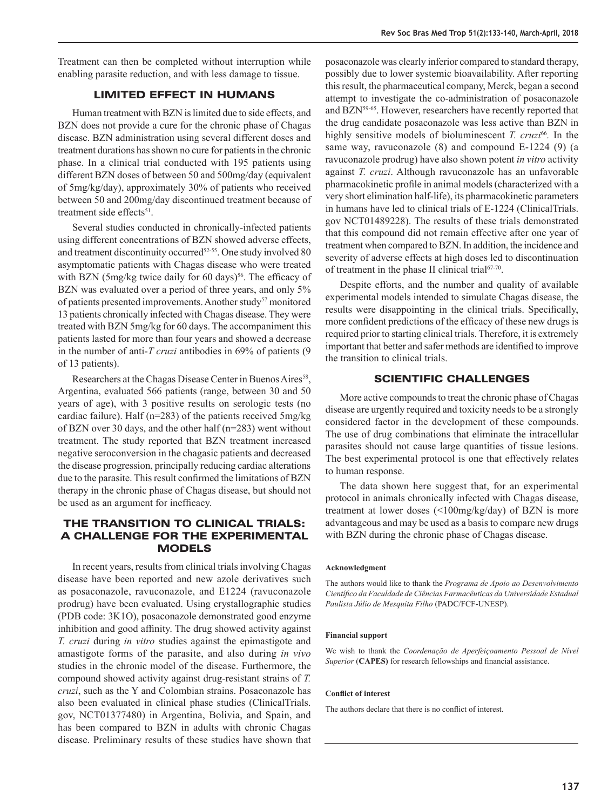Treatment can then be completed without interruption while enabling parasite reduction, and with less damage to tissue.

## LIMITED EFFECT IN HUMANS

Human treatment with BZN is limited due to side effects, and BZN does not provide a cure for the chronic phase of Chagas disease. BZN administration using several different doses and treatment durations has shown no cure for patients in the chronic phase. In a clinical trial conducted with 195 patients using different BZN doses of between 50 and 500mg/day (equivalent of 5mg/kg/day), approximately 30% of patients who received between 50 and 200mg/day discontinued treatment because of treatment side effects<sup>51</sup>.

Several studies conducted in chronically-infected patients using different concentrations of BZN showed adverse effects, and treatment discontinuity occurred<sup>52-55</sup>. One study involved 80 asymptomatic patients with Chagas disease who were treated with BZN (5mg/kg twice daily for 60 days)<sup>56</sup>. The efficacy of BZN was evaluated over a period of three years, and only 5% of patients presented improvements. Another study<sup>57</sup> monitored 13 patients chronically infected with Chagas disease. They were treated with BZN 5mg/kg for 60 days. The accompaniment this patients lasted for more than four years and showed a decrease in the number of anti-*T cruzi* antibodies in 69% of patients (9 of 13 patients).

Researchers at the Chagas Disease Center in Buenos Aires<sup>58</sup>, Argentina, evaluated 566 patients (range, between 30 and 50 years of age), with 3 positive results on serologic tests (no cardiac failure). Half (n=283) of the patients received 5mg/kg of BZN over 30 days, and the other half (n=283) went without treatment. The study reported that BZN treatment increased negative seroconversion in the chagasic patients and decreased the disease progression, principally reducing cardiac alterations due to the parasite. This result confirmed the limitations of BZN therapy in the chronic phase of Chagas disease, but should not be used as an argument for inefficacy.

## THE TRANSITION TO CLINICAL TRIALS: A CHALLENGE FOR THE EXPERIMENTAL MODELS

In recent years, results from clinical trials involving Chagas disease have been reported and new azole derivatives such as posaconazole, ravuconazole, and E1224 (ravuconazole prodrug) have been evaluated. Using crystallographic studies (PDB code: 3K1O), posaconazole demonstrated good enzyme inhibition and good affinity. The drug showed activity against *T. cruzi* during *in vitro* studies against the epimastigote and amastigote forms of the parasite, and also during *in vivo* studies in the chronic model of the disease. Furthermore, the compound showed activity against drug-resistant strains of *T. cruzi*, such as the Y and Colombian strains. Posaconazole has also been evaluated in clinical phase studies (ClinicalTrials. gov, NCT01377480) in Argentina, Bolivia, and Spain, and has been compared to BZN in adults with chronic Chagas disease. Preliminary results of these studies have shown that posaconazole was clearly inferior compared to standard therapy, possibly due to lower systemic bioavailability. After reporting this result, the pharmaceutical company, Merck, began a second attempt to investigate the co-administration of posaconazole and BZN59-65. However, researchers have recently reported that the drug candidate posaconazole was less active than BZN in highly sensitive models of bioluminescent *T. cruzi*<sup>66</sup>. In the same way, ravuconazole (8) and compound E-1224 (9) (a ravuconazole prodrug) have also shown potent *in vitro* activity against *T. cruzi*. Although ravuconazole has an unfavorable pharmacokinetic profile in animal models (characterized with a very short elimination half-life), its pharmacokinetic parameters in humans have led to clinical trials of E-1224 (ClinicalTrials. gov NCT01489228). The results of these trials demonstrated that this compound did not remain effective after one year of treatment when compared to BZN. In addition, the incidence and severity of adverse effects at high doses led to discontinuation of treatment in the phase II clinical trial67-70.

Despite efforts, and the number and quality of available experimental models intended to simulate Chagas disease, the results were disappointing in the clinical trials. Specifically, more confident predictions of the efficacy of these new drugs is required prior to starting clinical trials. Therefore, it is extremely important that better and safer methods are identified to improve the transition to clinical trials.

## SCIENTIFIC CHALLENGES

More active compounds to treat the chronic phase of Chagas disease are urgently required and toxicity needs to be a strongly considered factor in the development of these compounds. The use of drug combinations that eliminate the intracellular parasites should not cause large quantities of tissue lesions. The best experimental protocol is one that effectively relates to human response.

The data shown here suggest that, for an experimental protocol in animals chronically infected with Chagas disease, treatment at lower doses (<100mg/kg/day) of BZN is more advantageous and may be used as a basis to compare new drugs with BZN during the chronic phase of Chagas disease.

#### **Acknowledgment**

The authors would like to thank the *Programa de Apoio ao Desenvolvimento Científico da Faculdade de Ciências Farmacêuticas da Universidade Estadual Paulista Júlio de Mesquita Filho* (PADC/FCF-UNESP).

#### **Financial support**

We wish to thank the *Coordenação de Aperfeiçoamento Pessoal de Nível Superior* (**CAPES)** for research fellowships and financial assistance.

#### **Conflict of interest**

The authors declare that there is no conflict of interest.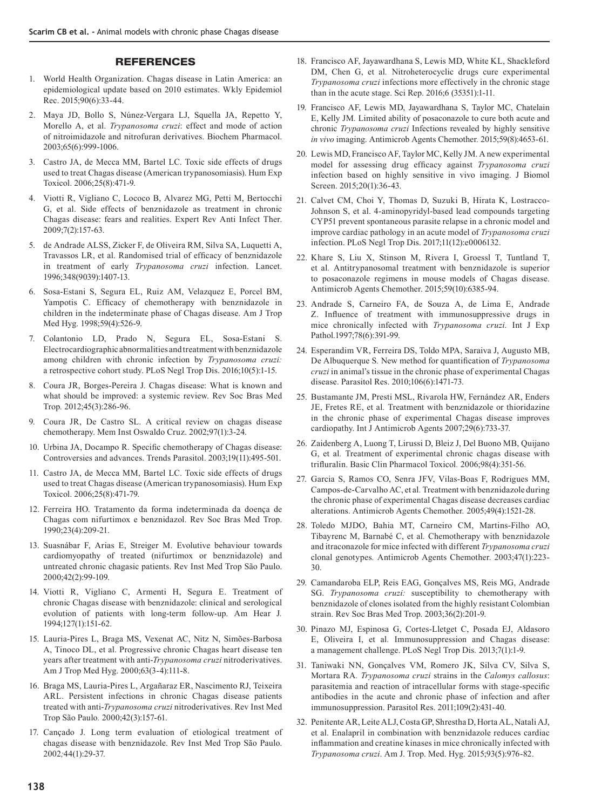### **REFERENCES**

- 1. World Health Organization. Chagas disease in Latin America: an epidemiological update based on 2010 estimates. Wkly Epidemiol Rec. 2015;90(6):33-44.
- 2. Maya JD, Bollo S, Núnez-Vergara LJ, Squella JA, Repetto Y, Morello A, et al. *Trypanosoma cruzi*: effect and mode of action of nitroimidazole and nitrofuran derivatives. Biochem Pharmacol. 2003;65(6):999-1006.
- 3. Castro JA, de Mecca MM, Bartel LC. Toxic side effects of drugs used to treat Chagas disease (American trypanosomiasis). Hum Exp Toxicol. 2006;25(8):471-9.
- 4. Viotti R, Vigliano C, Lococo B, Alvarez MG, Petti M, Bertocchi G, et al. Side effects of benznidazole as treatment in chronic Chagas disease: fears and realities. Expert Rev Anti Infect Ther. 2009;7(2):157-63.
- 5. de Andrade ALSS, Zicker F, de Oliveira RM, Silva SA, Luquetti A, Travassos LR, et al. Randomised trial of efficacy of benznidazole in treatment of early *Trypanosoma cruzi* infection. Lancet. 1996;348(9039):1407-13.
- 6. Sosa-Estani S, Segura EL, Ruiz AM, Velazquez E, Porcel BM, Yampotis C. Efficacy of chemotherapy with benznidazole in children in the indeterminate phase of Chagas disease. Am J Trop Med Hyg. 1998;59(4):526-9.
- 7. Colantonio LD, Prado N, Segura EL, Sosa-Estani S. Electrocardiographic abnormalities and treatment with benznidazole among children with chronic infection by *Trypanosoma cruzi:* a retrospective cohort study. PLoS Negl Trop Dis. 2016;10(5):1-15.
- 8. Coura JR, Borges-Pereira J. Chagas disease: What is known and what should be improved: a systemic review. Rev Soc Bras Med Trop*.* 2012;45(3):286-96.
- 9. Coura JR, De Castro SL. A critical review on chagas disease chemotherapy. Mem Inst Oswaldo Cruz. 2002;97(1):3-24.
- 10. Urbina JA, Docampo R. Specific chemotherapy of Chagas disease: Controversies and advances. Trends Parasitol. 2003;19(11):495-501.
- 11. Castro JA, de Mecca MM, Bartel LC. Toxic side effects of drugs used to treat Chagas disease (American trypanosomiasis). Hum Exp Toxicol. 2006;25(8):471-79.
- 12. Ferreira HO. Tratamento da forma indeterminada da doença de Chagas com nifurtimox e benznidazol. Rev Soc Bras Med Trop. 1990;23(4):209-21.
- 13. Suasnábar F, Arias E, Streiger M. Evolutive behaviour towards cardiomyopathy of treated (nifurtimox or benznidazole) and untreated chronic chagasic patients. Rev Inst Med Trop São Paulo. 2000;42(2):99-109.
- 14. Viotti R, Vigliano C, Armenti H, Segura E. Treatment of chronic Chagas disease with benznidazole: clinical and serological evolution of patients with long-term follow-up. Am Hear J*.*  1994;127(1):151-62.
- 15. Lauria-Pires L, Braga MS, Vexenat AC, Nitz N, Simões-Barbosa A, Tinoco DL, et al. Progressive chronic Chagas heart disease ten years after treatment with anti-*Trypanosoma cruzi* nitroderivatives. Am J Trop Med Hyg. 2000;63(3-4):111-8.
- 16. Braga MS, Lauria-Pires L, Argañaraz ER, Nascimento RJ, Teixeira ARL. Persistent infections in chronic Chagas disease patients treated with anti-*Trypanosoma cruzi* nitroderivatives. Rev Inst Med Trop São Paulo*.* 2000;42(3):157-61.
- 17. Cançado J. Long term evaluation of etiological treatment of chagas disease with benznidazole. Rev Inst Med Trop São Paulo. 2002*;*44(1):29-37.
- 18. Francisco AF, Jayawardhana S, Lewis MD, White KL, Shackleford DM, Chen G, et al*.* Nitroheterocyclic drugs cure experimental *Trypanosoma cruzi* infections more effectively in the chronic stage than in the acute stage. Sci Rep. 2016;6 (35351):1-11.
- 19. Francisco AF, Lewis MD, Jayawardhana S, Taylor MC, Chatelain E, Kelly JM*.* Limited ability of posaconazole to cure both acute and chronic *Trypanosoma cruzi* Infections revealed by highly sensitive *in vivo* imaging. Antimicrob Agents Chemother*.* 2015;59(8):4653-61.
- 20. Lewis MD, Francisco AF, Taylor MC, Kelly JM. A new experimental model for assessing drug efficacy against *Trypanosoma cruzi*  infection based on highly sensitive in vivo imaging. J Biomol Screen. 2015:20(1):36-43.
- 21. Calvet CM, Choi Y, Thomas D, Suzuki B, Hirata K, Lostracco-Johnson S, et al. 4-aminopyridyl-based lead compounds targeting CYP51 prevent spontaneous parasite relapse in a chronic model and improve cardiac pathology in an acute model of *Trypanosoma cruzi* infection. PLoS Negl Trop Dis. 2017;11(12):e0006132.
- 22. Khare S, Liu X, Stinson M, Rivera I, Groessl T, Tuntland T, et al*.* Antitrypanosomal treatment with benznidazole is superior to posaconazole regimens in mouse models of Chagas disease. Antimicrob Agents Chemother. 2015;59(10):6385-94.
- 23. Andrade S, Carneiro FA, de Souza A, de Lima E, Andrade Z. Influence of treatment with immunosuppressive drugs in mice chronically infected with *Trypanosoma cruzi.* Int J Exp Pathol*.*1997;78(6):391-99.
- 24. Esperandim VR, Ferreira DS, Toldo MPA, Saraiva J, Augusto MB, De Albuquerque S*.* New method for quantification of *Trypanosoma cruzi* in animal's tissue in the chronic phase of experimental Chagas disease. Parasitol Res. 2010;106(6):1471-73.
- 25. Bustamante JM, Presti MSL, Rivarola HW, Fernández AR, Enders JE, Fretes RE, et al*.* Treatment with benznidazole or thioridazine in the chronic phase of experimental Chagas disease improves cardiopathy. Int J Antimicrob Agents 2007;29(6):733-37.
- 26. Zaidenberg A, Luong T, Lirussi D, Bleiz J, Del Buono MB, Quijano G, et al*.* Treatment of experimental chronic chagas disease with trifluralin. Basic Clin Pharmacol Toxicol*.* 2006;98(4):351-56.
- 27. Garcia S, Ramos CO, Senra JFV, Vilas-Boas F, Rodrigues MM, Campos-de-Carvalho AC, et al*.* Treatment with benznidazole during the chronic phase of experimental Chagas disease decreases cardiac alterations. Antimicrob Agents Chemother*.* 2005;49(4):1521-28.
- 28. Toledo MJDO, Bahia MT, Carneiro CM, Martins-Filho AO, Tibayrenc M, Barnabé C, et al*.* Chemotherapy with benznidazole and itraconazole for mice infected with different *Trypanosoma cruzi*  clonal genotypes*.* Antimicrob Agents Chemother. 2003;47(1):223- 30.
- 29. Camandaroba ELP, Reis EAG, Gonçalves MS, Reis MG, Andrade SG. *Trypanosoma cruzi:* susceptibility to chemotherapy with benznidazole of clones isolated from the highly resistant Colombian strain. Rev Soc Bras Med Trop. 2003;36(2):201-9.
- 30. Pinazo MJ, Espinosa G, Cortes-Lletget C, Posada EJ, Aldasoro E, Oliveira I, et al*.* Immunosuppression and Chagas disease: a management challenge. PLoS Negl Trop Dis*.* 2013;7(1):1-9.
- 31. Taniwaki NN, Gonçalves VM, Romero JK, Silva CV, Silva S, Mortara RA*. Trypanosoma cruzi* strains in the *Calomys callosus*: parasitemia and reaction of intracellular forms with stage-specific antibodies in the acute and chronic phase of infection and after immunosuppression. Parasitol Res. 2011;109(2):431-40.
- 32. Penitente AR, Leite ALJ, Costa GP, Shrestha D, Horta AL, Natali AJ, et al. Enalapril in combination with benznidazole reduces cardiac inflammation and creatine kinases in mice chronically infected with *Trypanosoma cruzi*. Am J. Trop. Med. Hyg. 2015;93(5):976-82.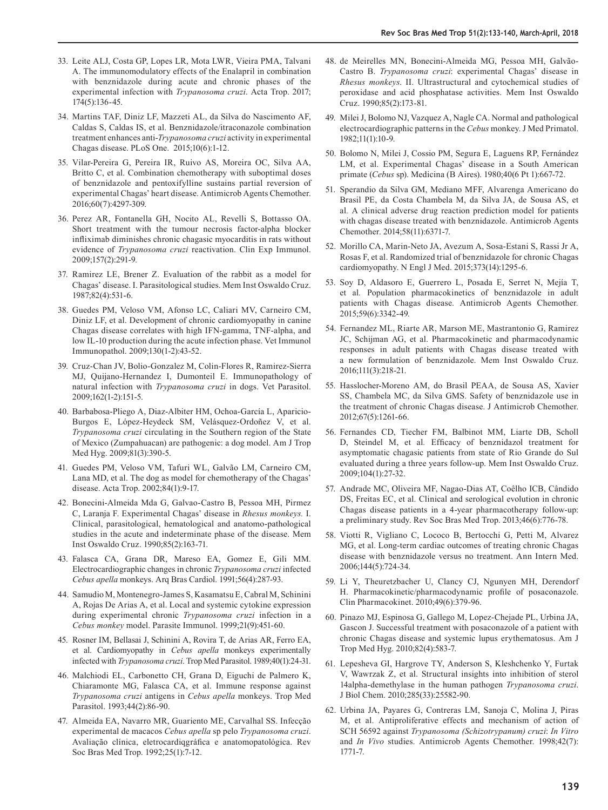- 33. Leite ALJ, Costa GP, Lopes LR, Mota LWR, Vieira PMA, Talvani A. The immunomodulatory effects of the Enalapril in combination with benznidazole during acute and chronic phases of the experimental infection with *Trypanosoma cruzi*. Acta Trop. 2017; 174(5):136-45.
- 34. Martins TAF, Diniz LF, Mazzeti AL, da Silva do Nascimento AF, Caldas S, Caldas IS, et al. Benznidazole/itraconazole combination treatment enhances anti-*Trypanosoma cruzi* activity in experimental Chagas disease. PLoS One. 2015;10(6):1-12.
- 35. Vilar-Pereira G, Pereira IR, Ruivo AS, Moreira OC, Silva AA, Britto C, et al. Combination chemotherapy with suboptimal doses of benznidazole and pentoxifylline sustains partial reversion of experimental Chagas' heart disease. Antimicrob Agents Chemother. 2016;60(7):4297-309.
- 36. Perez AR, Fontanella GH, Nocito AL, Revelli S, Bottasso OA. Short treatment with the tumour necrosis factor-alpha blocker infliximab diminishes chronic chagasic myocarditis in rats without evidence of *Trypanosoma cruzi* reactivation. Clin Exp Immunol. 2009;157(2):291-9.
- 37. Ramirez LE, Brener Z. Evaluation of the rabbit as a model for Chagas' disease. I. Parasitological studies. Mem Inst Oswaldo Cruz. 1987;82(4):531-6.
- 38. Guedes PM, Veloso VM, Afonso LC, Caliari MV, Carneiro CM, Diniz LF, et al. Development of chronic cardiomyopathy in canine Chagas disease correlates with high IFN-gamma, TNF-alpha, and low IL-10 production during the acute infection phase. Vet Immunol Immunopathol. 2009;130(1-2):43-52.
- 39. Cruz-Chan JV, Bolio-Gonzalez M, Colin-Flores R, Ramirez-Sierra MJ, Quijano-Hernandez I, Dumonteil E. Immunopathology of natural infection with *Trypanosoma cruzi* in dogs. Vet Parasitol. 2009;162(1-2):151-5.
- 40. Barbabosa-Pliego A, Diaz-Albiter HM, Ochoa-García L, Aparicio-Burgos E, López-Heydeck SM, Velásquez-Ordoñez V, et al. *Trypanosoma cruzi* circulating in the Southern region of the State of Mexico (Zumpahuacan) are pathogenic: a dog model. Am J Trop Med Hyg. 2009;81(3):390-5.
- 41. Guedes PM, Veloso VM, Tafuri WL, Galvão LM, Carneiro CM, Lana MD, et al. The dog as model for chemotherapy of the Chagas' disease. Acta Trop. 2002;84(1):9-17.
- 42. Bonecini-Almeida Mda G, Galvao-Castro B, Pessoa MH, Pirmez C, Laranja F. Experimental Chagas' disease in *Rhesus monkeys.* I. Clinical, parasitological, hematological and anatomo-pathological studies in the acute and indeterminate phase of the disease. Mem Inst Oswaldo Cruz. 1990;85(2):163-71.
- 43. Falasca CA, Grana DR, Mareso EA, Gomez E, Gili MM. Electrocardiographic changes in chronic *Trypanosoma cruzi* infected *Cebus apella* monkeys. Arq Bras Cardiol. 1991;56(4):287-93.
- 44. Samudio M, Montenegro-James S, Kasamatsu E, Cabral M, Schinini A, Rojas De Arias A, et al. Local and systemic cytokine expression during experimental chronic *Trypanosoma cruzi* infection in a *Cebus monkey* model. Parasite Immunol. 1999;21(9):451-60.
- 45. Rosner IM, Bellasai J, Schinini A, Rovira T, de Arias AR, Ferro EA, et al. Cardiomyopathy in *Cebus apella* monkeys experimentally infected with *Trypanosoma cruzi*. Trop Med Parasitol. 1989;40(1):24-31.
- 46. Malchiodi EL, Carbonetto CH, Grana D, Eiguchi de Palmero K, Chiaramonte MG, Falasca CA, et al. Immune response against *Trypanosoma cruzi* antigens in *Cebus apella* monkeys. Trop Med Parasitol. 1993;44(2):86-90.
- 47. Almeida EA, Navarro MR, Guariento ME, Carvalhal SS. Infecção experimental de macacos *Cebus apella* sp pelo *Trypanosoma cruzi*. Avaliação clínica, eletrocardiqgráfica e anatomopatológica. Rev Soc Bras Med Trop. 1992;25(1):7-12.
- 48. de Meirelles MN, Bonecini-Almeida MG, Pessoa MH, Galvão-Castro B. *Trypanosoma cruzi*: experimental Chagas' disease in *Rhesus monkeys*. II. Ultrastructural and cytochemical studies of peroxidase and acid phosphatase activities. Mem Inst Oswaldo Cruz. 1990;85(2):173-81.
- 49. Milei J, Bolomo NJ, Vazquez A, Nagle CA. Normal and pathological electrocardiographic patterns in the *Cebus* monkey. J Med Primatol. 1982;11(1):10-9.
- 50. Bolomo N, Milei J, Cossio PM, Segura E, Laguens RP, Fernández LM, et al. Experimental Chagas' disease in a South American primate (*Cebus* sp). Medicina (B Aires). 1980;40(6 Pt 1):667-72.
- 51. Sperandio da Silva GM, Mediano MFF, Alvarenga Americano do Brasil PE, da Costa Chambela M, da Silva JA, de Sousa AS, et al*.* A clinical adverse drug reaction prediction model for patients with chagas disease treated with benznidazole. Antimicrob Agents Chemother. 2014;58(11):6371-7.
- 52. Morillo CA, Marin‑Neto JA, Avezum A, Sosa‑Estani S, Rassi Jr A, Rosas F, et al. Randomized trial of benznidazole for chronic Chagas cardiomyopathy. N Engl J Med. 2015;373(14):1295-6.
- 53. Soy D, Aldasoro E, Guerrero L, Posada E, Serret N, Mejía T, et al*.* Population pharmacokinetics of benznidazole in adult patients with Chagas disease. Antimicrob Agents Chemother*.*  2015;59(6):3342-49.
- 54. Fernandez ML, Riarte AR, Marson ME, Mastrantonio G, Ramirez JC, Schijman AG, et al. Pharmacokinetic and pharmacodynamic responses in adult patients with Chagas disease treated with a new formulation of benznidazole. Mem Inst Oswaldo Cruz. 2016;111(3):218-21.
- 55. Hasslocher-Moreno AM, do Brasil PEAA, de Sousa AS, Xavier SS, Chambela MC, da Silva GMS. Safety of benznidazole use in the treatment of chronic Chagas disease. J Antimicrob Chemother. 2012;67(5):1261-66.
- 56. Fernandes CD, Tiecher FM, Balbinot MM, Liarte DB, Scholl D, Steindel M, et al*.* Efficacy of benznidazol treatment for asymptomatic chagasic patients from state of Rio Grande do Sul evaluated during a three years follow-up. Mem Inst Oswaldo Cruz. 2009;104(1):27-32.
- 57. Andrade MC, Oliveira MF, Nagao-Dias AT, Coêlho ICB, Cândido DS, Freitas EC, et al*.* Clinical and serological evolution in chronic Chagas disease patients in a 4-year pharmacotherapy follow-up: a preliminary study. Rev Soc Bras Med Trop. 2013;46(6):776-78.
- 58. Viotti R, Vigliano C, Lococo B, Bertocchi G, Petti M, Alvarez MG, et al. Long-term cardiac outcomes of treating chronic Chagas disease with benznidazole versus no treatment. Ann Intern Med. 2006;144(5):724-34.
- 59. Li Y, Theuretzbacher U, Clancy CJ, Ngunyen MH, Derendorf H. Pharmacokinetic/pharmacodynamic profile of posaconazole. Clin Pharmacokinet. 2010;49(6):379-96.
- 60. Pinazo MJ, Espinosa G, Gallego M, Lopez-Chejade PL, Urbina JA, Gascon J. Successful treatment with posaconazole of a patient with chronic Chagas disease and systemic lupus erythematosus. Am J Trop Med Hyg. 2010;82(4):583-7.
- 61. Lepesheva GI, Hargrove TY, Anderson S, Kleshchenko Y, Furtak V, Wawrzak Z, et al. Structural insights into inhibition of sterol 14alpha-demethylase in the human pathogen *Trypanosoma cruzi*. J Biol Chem. 2010;285(33):25582-90.
- 62. Urbina JA, Payares G, Contreras LM, Sanoja C, Molina J, Piras M, et al. Antiproliferative effects and mechanism of action of SCH 56592 against *Trypanosoma (Schizotrypanum) cruzi*: *In Vitro* and *In Vivo* studies. Antimicrob Agents Chemother. 1998;42(7): 1771-7.